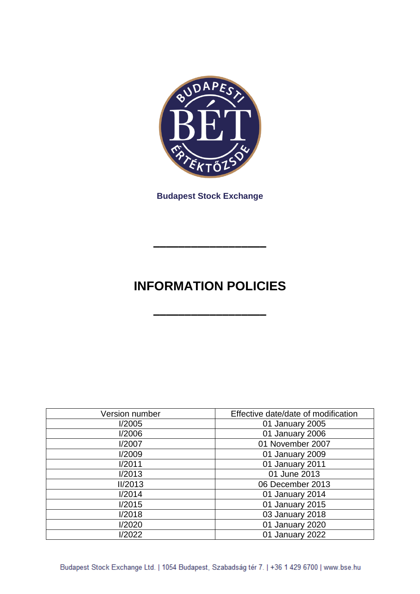

**Budapest Stock Exchange**

# **INFORMATION POLICIES**

**––––––––––––––––––**

**––––––––––––––––––**

| Version number | Effective date/date of modification |
|----------------|-------------------------------------|
| I/2005         | 01 January 2005                     |
| I/2006         | 01 January 2006                     |
| I/2007         | 01 November 2007                    |
| I/2009         | 01 January 2009                     |
| I/2011         | 01 January 2011                     |
| I/2013         | 01 June 2013                        |
| II/2013        | 06 December 2013                    |
| I/2014         | 01 January 2014                     |
| I/2015         | 01 January 2015                     |
| I/2018         | 03 January 2018                     |
| 1/2020         | 01 January 2020                     |
| I/2022         | 01 January 2022                     |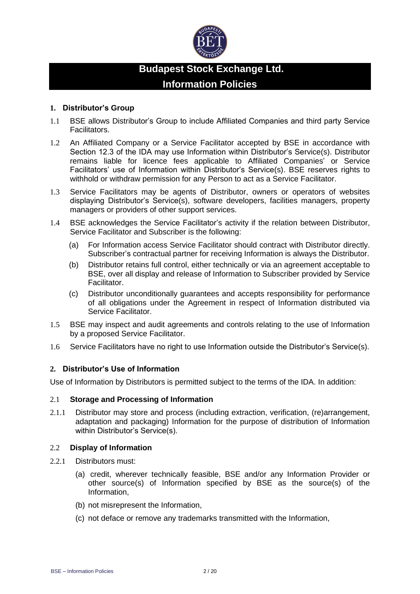

# **Budapest Stock Exchange Ltd. Information Policies**

# **1. Distributor's Group**

- 1.1 BSE allows Distributor's Group to include Affiliated Companies and third party Service Facilitators.
- 1.2 An Affiliated Company or a Service Facilitator accepted by BSE in accordance with Section 12.3 of the IDA may use Information within Distributor's Service(s). Distributor remains liable for licence fees applicable to Affiliated Companies' or Service Facilitators' use of Information within Distributor's Service(s). BSE reserves rights to withhold or withdraw permission for any Person to act as a Service Facilitator.
- 1.3 Service Facilitators may be agents of Distributor, owners or operators of websites displaying Distributor's Service(s), software developers, facilities managers, property managers or providers of other support services.
- 1.4 BSE acknowledges the Service Facilitator's activity if the relation between Distributor, Service Facilitator and Subscriber is the following:
	- (a) For Information access Service Facilitator should contract with Distributor directly. Subscriber's contractual partner for receiving Information is always the Distributor.
	- (b) Distributor retains full control, either technically or via an agreement acceptable to BSE, over all display and release of Information to Subscriber provided by Service Facilitator.
	- (c) Distributor unconditionally guarantees and accepts responsibility for performance of all obligations under the Agreement in respect of Information distributed via Service Facilitator.
- 1.5 BSE may inspect and audit agreements and controls relating to the use of Information by a proposed Service Facilitator.
- 1.6 Service Facilitators have no right to use Information outside the Distributor's Service(s).

# **2. Distributor's Use of Information**

Use of Information by Distributors is permitted subject to the terms of the IDA. In addition:

#### 2.1 **Storage and Processing of Information**

2.1.1 Distributor may store and process (including extraction, verification, (re)arrangement, adaptation and packaging) Information for the purpose of distribution of Information within Distributor's Service(s).

#### 2.2 **Display of Information**

- 2.2.1 Distributors must:
	- (a) credit, wherever technically feasible, BSE and/or any Information Provider or other source(s) of Information specified by BSE as the source(s) of the Information,
	- (b) not misrepresent the Information,
	- (c) not deface or remove any trademarks transmitted with the Information,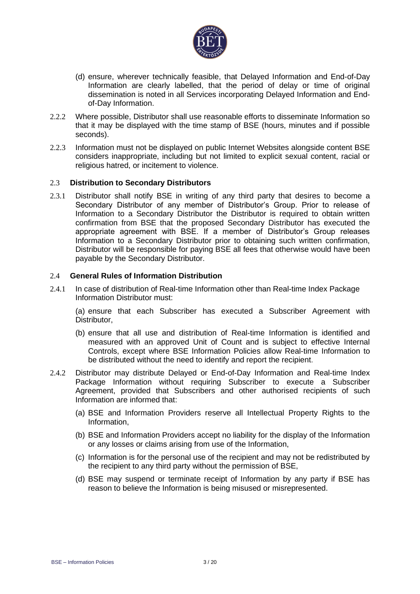

- (d) ensure, wherever technically feasible, that Delayed Information and End-of-Day Information are clearly labelled, that the period of delay or time of original dissemination is noted in all Services incorporating Delayed Information and Endof-Day Information.
- 2.2.2 Where possible, Distributor shall use reasonable efforts to disseminate Information so that it may be displayed with the time stamp of BSE (hours, minutes and if possible seconds).
- 2.2.3 Information must not be displayed on public Internet Websites alongside content BSE considers inappropriate, including but not limited to explicit sexual content, racial or religious hatred, or incitement to violence.

### 2.3 **Distribution to Secondary Distributors**

2.3.1 Distributor shall notify BSE in writing of any third party that desires to become a Secondary Distributor of any member of Distributor's Group. Prior to release of Information to a Secondary Distributor the Distributor is required to obtain written confirmation from BSE that the proposed Secondary Distributor has executed the appropriate agreement with BSE. If a member of Distributor's Group releases Information to a Secondary Distributor prior to obtaining such written confirmation, Distributor will be responsible for paying BSE all fees that otherwise would have been payable by the Secondary Distributor.

# 2.4 **General Rules of Information Distribution**

2.4.1 In case of distribution of Real-time Information other than Real-time Index Package Information Distributor must:

(a) ensure that each Subscriber has executed a Subscriber Agreement with Distributor,

- (b) ensure that all use and distribution of Real-time Information is identified and measured with an approved Unit of Count and is subject to effective Internal Controls, except where BSE Information Policies allow Real-time Information to be distributed without the need to identify and report the recipient.
- 2.4.2 Distributor may distribute Delayed or End-of-Day Information and Real-time Index Package Information without requiring Subscriber to execute a Subscriber Agreement, provided that Subscribers and other authorised recipients of such Information are informed that:
	- (a) BSE and Information Providers reserve all Intellectual Property Rights to the Information,
	- (b) BSE and Information Providers accept no liability for the display of the Information or any losses or claims arising from use of the Information,
	- (c) Information is for the personal use of the recipient and may not be redistributed by the recipient to any third party without the permission of BSE,
	- (d) BSE may suspend or terminate receipt of Information by any party if BSE has reason to believe the Information is being misused or misrepresented.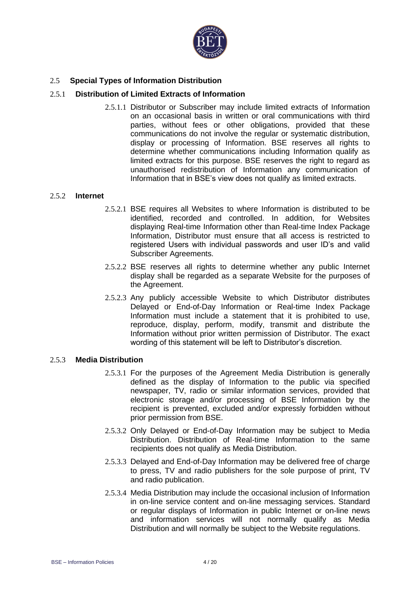

# 2.5 **Special Types of Information Distribution**

### 2.5.1 **Distribution of Limited Extracts of Information**

2.5.1.1 Distributor or Subscriber may include limited extracts of Information on an occasional basis in written or oral communications with third parties, without fees or other obligations, provided that these communications do not involve the regular or systematic distribution, display or processing of Information. BSE reserves all rights to determine whether communications including Information qualify as limited extracts for this purpose. BSE reserves the right to regard as unauthorised redistribution of Information any communication of Information that in BSE's view does not qualify as limited extracts.

#### 2.5.2 **Internet**

- 2.5.2.1 BSE requires all Websites to where Information is distributed to be identified, recorded and controlled. In addition, for Websites displaying Real-time Information other than Real-time Index Package Information, Distributor must ensure that all access is restricted to registered Users with individual passwords and user ID's and valid Subscriber Agreements.
- 2.5.2.2 BSE reserves all rights to determine whether any public Internet display shall be regarded as a separate Website for the purposes of the Agreement.
- 2.5.2.3 Any publicly accessible Website to which Distributor distributes Delayed or End-of-Day Information or Real-time Index Package Information must include a statement that it is prohibited to use, reproduce, display, perform, modify, transmit and distribute the Information without prior written permission of Distributor. The exact wording of this statement will be left to Distributor's discretion.

# 2.5.3 **Media Distribution**

- 2.5.3.1 For the purposes of the Agreement Media Distribution is generally defined as the display of Information to the public via specified newspaper, TV, radio or similar information services, provided that electronic storage and/or processing of BSE Information by the recipient is prevented, excluded and/or expressly forbidden without prior permission from BSE.
- 2.5.3.2 Only Delayed or End-of-Day Information may be subject to Media Distribution. Distribution of Real-time Information to the same recipients does not qualify as Media Distribution.
- 2.5.3.3 Delayed and End-of-Day Information may be delivered free of charge to press, TV and radio publishers for the sole purpose of print, TV and radio publication.
- 2.5.3.4 Media Distribution may include the occasional inclusion of Information in on-line service content and on-line messaging services. Standard or regular displays of Information in public Internet or on-line news and information services will not normally qualify as Media Distribution and will normally be subject to the Website regulations.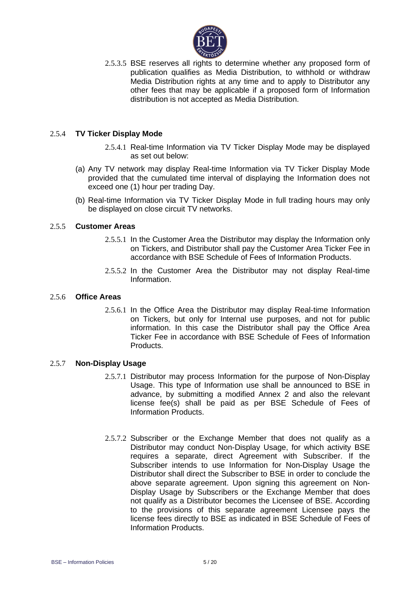

2.5.3.5 BSE reserves all rights to determine whether any proposed form of publication qualifies as Media Distribution, to withhold or withdraw Media Distribution rights at any time and to apply to Distributor any other fees that may be applicable if a proposed form of Information distribution is not accepted as Media Distribution.

# 2.5.4 **TV Ticker Display Mode**

- 2.5.4.1 Real-time Information via TV Ticker Display Mode may be displayed as set out below:
- (a) Any TV network may display Real-time Information via TV Ticker Display Mode provided that the cumulated time interval of displaying the Information does not exceed one (1) hour per trading Day.
- (b) Real-time Information via TV Ticker Display Mode in full trading hours may only be displayed on close circuit TV networks.

#### 2.5.5 **Customer Areas**

- 2.5.5.1 In the Customer Area the Distributor may display the Information only on Tickers, and Distributor shall pay the Customer Area Ticker Fee in accordance with BSE Schedule of Fees of Information Products.
- 2.5.5.2 In the Customer Area the Distributor may not display Real-time Information.

#### 2.5.6 **Office Areas**

2.5.6.1 In the Office Area the Distributor may display Real-time Information on Tickers, but only for Internal use purposes, and not for public information. In this case the Distributor shall pay the Office Area Ticker Fee in accordance with BSE Schedule of Fees of Information Products.

#### 2.5.7 **Non-Display Usage**

- 2.5.7.1 Distributor may process Information for the purpose of Non-Display Usage. This type of Information use shall be announced to BSE in advance, by submitting a modified Annex 2 and also the relevant license fee(s) shall be paid as per BSE Schedule of Fees of Information Products.
- 2.5.7.2 Subscriber or the Exchange Member that does not qualify as a Distributor may conduct Non-Display Usage, for which activity BSE requires a separate, direct Agreement with Subscriber. If the Subscriber intends to use Information for Non-Display Usage the Distributor shall direct the Subscriber to BSE in order to conclude the above separate agreement. Upon signing this agreement on Non-Display Usage by Subscribers or the Exchange Member that does not qualify as a Distributor becomes the Licensee of BSE. According to the provisions of this separate agreement Licensee pays the license fees directly to BSE as indicated in BSE Schedule of Fees of Information Products.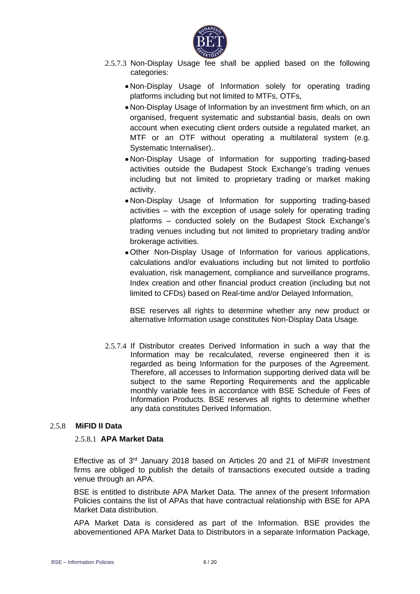

- 2.5.7.3 Non-Display Usage fee shall be applied based on the following categories:
	- Non-Display Usage of Information solely for operating trading platforms including but not limited to MTFs, OTFs,
	- Non-Display Usage of Information by an investment firm which, on an organised, frequent systematic and substantial basis, deals on own account when executing client orders outside a regulated market, an MTF or an OTF without operating a multilateral system (e.g. Systematic Internaliser)..
	- Non-Display Usage of Information for supporting trading-based activities outside the Budapest Stock Exchange's trading venues including but not limited to proprietary trading or market making activity.
	- Non-Display Usage of Information for supporting trading-based activities – with the exception of usage solely for operating trading platforms – conducted solely on the Budapest Stock Exchange's trading venues including but not limited to proprietary trading and/or brokerage activities.
	- Other Non-Display Usage of Information for various applications, calculations and/or evaluations including but not limited to portfolio evaluation, risk management, compliance and surveillance programs, Index creation and other financial product creation (including but not limited to CFDs) based on Real-time and/or Delayed Information,

BSE reserves all rights to determine whether any new product or alternative Information usage constitutes Non-Display Data Usage.

2.5.7.4 If Distributor creates Derived Information in such a way that the Information may be recalculated, reverse engineered then it is regarded as being Information for the purposes of the Agreement. Therefore, all accesses to Information supporting derived data will be subject to the same Reporting Requirements and the applicable monthly variable fees in accordance with BSE Schedule of Fees of Information Products. BSE reserves all rights to determine whether any data constitutes Derived Information.

# 2.5.8 **MiFID II Data**

#### 2.5.8.1 **APA Market Data**

Effective as of 3<sup>rd</sup> January 2018 based on Articles 20 and 21 of MiFIR Investment firms are obliged to publish the details of transactions executed outside a trading venue through an APA.

BSE is entitled to distribute APA Market Data. The annex of the present Information Policies contains the list of APAs that have contractual relationship with BSE for APA Market Data distribution.

APA Market Data is considered as part of the Information. BSE provides the abovementioned APA Market Data to Distributors in a separate Information Package,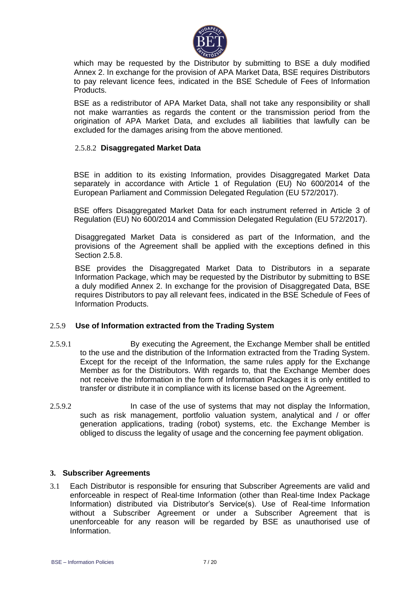

which may be requested by the Distributor by submitting to BSE a duly modified Annex 2. In exchange for the provision of APA Market Data, BSE requires Distributors to pay relevant licence fees, indicated in the BSE Schedule of Fees of Information Products.

BSE as a redistributor of APA Market Data, shall not take any responsibility or shall not make warranties as regards the content or the transmission period from the origination of APA Market Data, and excludes all liabilities that lawfully can be excluded for the damages arising from the above mentioned.

# 2.5.8.2 **Disaggregated Market Data**

BSE in addition to its existing Information, provides Disaggregated Market Data separately in accordance with Article 1 of Regulation (EU) No 600/2014 of the European Parliament and Commission Delegated Regulation (EU 572/2017).

BSE offers Disaggregated Market Data for each instrument referred in Article 3 of Regulation (EU) No 600/2014 and Commission Delegated Regulation (EU 572/2017).

Disaggregated Market Data is considered as part of the Information, and the provisions of the Agreement shall be applied with the exceptions defined in this Section 2.5.8.

BSE provides the Disaggregated Market Data to Distributors in a separate Information Package, which may be requested by the Distributor by submitting to BSE a duly modified Annex 2. In exchange for the provision of Disaggregated Data, BSE requires Distributors to pay all relevant fees, indicated in the BSE Schedule of Fees of Information Products.

#### 2.5.9 **Use of Information extracted from the Trading System**

- 2.5.9.1 By executing the Agreement, the Exchange Member shall be entitled to the use and the distribution of the Information extracted from the Trading System. Except for the receipt of the Information, the same rules apply for the Exchange Member as for the Distributors. With regards to, that the Exchange Member does not receive the Information in the form of Information Packages it is only entitled to transfer or distribute it in compliance with its license based on the Agreement.
- 2.5.9.2 In case of the use of systems that may not display the Information, such as risk management, portfolio valuation system, analytical and / or offer generation applications, trading (robot) systems, etc. the Exchange Member is obliged to discuss the legality of usage and the concerning fee payment obligation.

# **3. Subscriber Agreements**

3.1 Each Distributor is responsible for ensuring that Subscriber Agreements are valid and enforceable in respect of Real-time Information (other than Real-time Index Package Information) distributed via Distributor's Service(s). Use of Real-time Information without a Subscriber Agreement or under a Subscriber Agreement that is unenforceable for any reason will be regarded by BSE as unauthorised use of Information.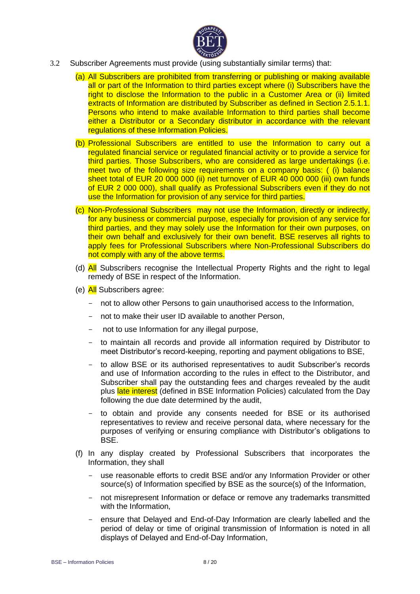

- 3.2 Subscriber Agreements must provide (using substantially similar terms) that:
	- (a) All Subscribers are prohibited from transferring or publishing or making available all or part of the Information to third parties except where (i) Subscribers have the right to disclose the Information to the public in a Customer Area or (ii) limited extracts of Information are distributed by Subscriber as defined in Section 2.5.1.1. Persons who intend to make available Information to third parties shall become either a Distributor or a Secondary distributor in accordance with the relevant regulations of these Information Policies.
	- (b) Professional Subscribers are entitled to use the Information to carry out a regulated financial service or regulated financial activity or to provide a service for third parties. Those Subscribers, who are considered as large undertakings (i.e. meet two of the following size requirements on a company basis: ( (i) balance sheet total of EUR 20 000 000 (ii) net turnover of EUR 40 000 000 (iii) own funds of EUR 2 000 000), shall qualify as Professional Subscribers even if they do not use the Information for provision of any service for third parties.
	- (c) Non-Professional Subscribers may not use the Information, directly or indirectly, for any business or commercial purpose, especially for provision of any service for third parties, and they may solely use the Information for their own purposes, on their own behalf and exclusively for their own benefit. BSE reserves all rights to apply fees for Professional Subscribers where Non-Professional Subscribers do not comply with any of the above terms.
	- (d) All Subscribers recognise the Intellectual Property Rights and the right to legal remedy of BSE in respect of the Information.
	- (e) All Subscribers agree:
		- not to allow other Persons to gain unauthorised access to the Information,
		- not to make their user ID available to another Person,
		- not to use Information for any illegal purpose,
		- to maintain all records and provide all information required by Distributor to meet Distributor's record-keeping, reporting and payment obligations to BSE,
		- to allow BSE or its authorised representatives to audit Subscriber's records and use of Information according to the rules in effect to the Distributor, and Subscriber shall pay the outstanding fees and charges revealed by the audit plus late interest (defined in BSE Information Policies) calculated from the Day following the due date determined by the audit,
		- to obtain and provide any consents needed for BSE or its authorised representatives to review and receive personal data, where necessary for the purposes of verifying or ensuring compliance with Distributor's obligations to BSE.
	- (f) In any display created by Professional Subscribers that incorporates the Information, they shall
		- use reasonable efforts to credit BSE and/or any Information Provider or other source(s) of Information specified by BSE as the source(s) of the Information,
		- not misrepresent Information or deface or remove any trademarks transmitted with the Information,
		- ensure that Delayed and End-of-Day Information are clearly labelled and the period of delay or time of original transmission of Information is noted in all displays of Delayed and End-of-Day Information,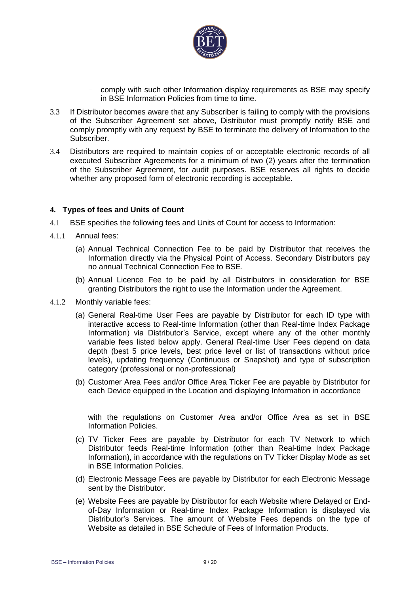

- comply with such other Information display requirements as BSE may specify in BSE Information Policies from time to time.
- 3.3 If Distributor becomes aware that any Subscriber is failing to comply with the provisions of the Subscriber Agreement set above, Distributor must promptly notify BSE and comply promptly with any request by BSE to terminate the delivery of Information to the Subscriber.
- 3.4 Distributors are required to maintain copies of or acceptable electronic records of all executed Subscriber Agreements for a minimum of two (2) years after the termination of the Subscriber Agreement, for audit purposes. BSE reserves all rights to decide whether any proposed form of electronic recording is acceptable.

### **4. Types of fees and Units of Count**

- 4.1 BSE specifies the following fees and Units of Count for access to Information:
- 4.1.1 Annual fees:
	- (a) Annual Technical Connection Fee to be paid by Distributor that receives the Information directly via the Physical Point of Access. Secondary Distributors pay no annual Technical Connection Fee to BSE.
	- (b) Annual Licence Fee to be paid by all Distributors in consideration for BSE granting Distributors the right to use the Information under the Agreement.
- 4.1.2 Monthly variable fees:
	- (a) General Real-time User Fees are payable by Distributor for each ID type with interactive access to Real-time Information (other than Real-time Index Package Information) via Distributor's Service, except where any of the other monthly variable fees listed below apply. General Real-time User Fees depend on data depth (best 5 price levels, best price level or list of transactions without price levels), updating frequency (Continuous or Snapshot) and type of subscription category (professional or non-professional)
	- (b) Customer Area Fees and/or Office Area Ticker Fee are payable by Distributor for each Device equipped in the Location and displaying Information in accordance

with the regulations on Customer Area and/or Office Area as set in BSE Information Policies.

- (c) TV Ticker Fees are payable by Distributor for each TV Network to which Distributor feeds Real-time Information (other than Real-time Index Package Information), in accordance with the regulations on TV Ticker Display Mode as set in BSE Information Policies.
- (d) Electronic Message Fees are payable by Distributor for each Electronic Message sent by the Distributor.
- (e) Website Fees are payable by Distributor for each Website where Delayed or Endof-Day Information or Real-time Index Package Information is displayed via Distributor's Services. The amount of Website Fees depends on the type of Website as detailed in BSE Schedule of Fees of Information Products.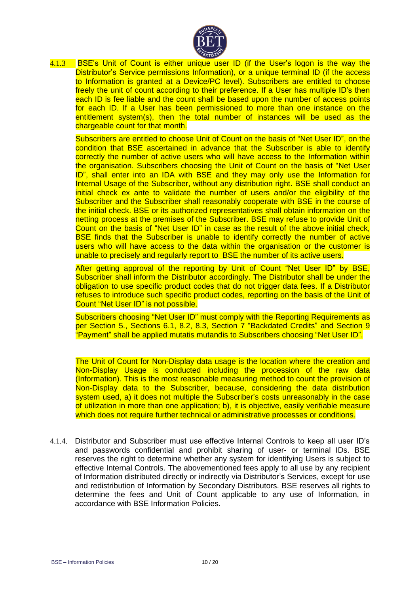

4.1.3 **BSE's Unit of Count is either unique user ID (if the User's logon is the way the** Distributor's Service permissions Information), or a unique terminal ID (if the access to Information is granted at a Device/PC level). Subscribers are entitled to choose freely the unit of count according to their preference. If a User has multiple ID's then each ID is fee liable and the count shall be based upon the number of access points for each ID. If a User has been permissioned to more than one instance on the entitlement system(s), then the total number of instances will be used as the chargeable count for that month.

Subscribers are entitled to choose Unit of Count on the basis of "Net User ID", on the condition that BSE ascertained in advance that the Subscriber is able to identify correctly the number of active users who will have access to the Information within the organisation. Subscribers choosing the Unit of Count on the basis of "Net User ID", shall enter into an IDA with BSE and they may only use the Information for Internal Usage of the Subscriber, without any distribution right. BSE shall conduct an initial check ex ante to validate the number of users and/or the eligibility of the Subscriber and the Subscriber shall reasonably cooperate with BSE in the course of the initial check. BSE or its authorized representatives shall obtain information on the netting process at the premises of the Subscriber. BSE may refuse to provide Unit of Count on the basis of "Net User ID" in case as the result of the above initial check, BSE finds that the Subscriber is unable to identify correctly the number of active users who will have access to the data within the organisation or the customer is unable to precisely and regularly report to BSE the number of its active users.

After getting approval of the reporting by Unit of Count "Net User ID" by BSE, Subscriber shall inform the Distributor accordingly. The Distributor shall be under the obligation to use specific product codes that do not trigger data fees. If a Distributor refuses to introduce such specific product codes, reporting on the basis of the Unit of Count "Net User ID" is not possible.

Subscribers choosing "Net User ID" must comply with the Reporting Requirements as per Section 5., Sections 6.1, 8.2, 8.3, Section 7 "Backdated Credits" and Section 9 "Payment" shall be applied mutatis mutandis to Subscribers choosing "Net User ID".

The Unit of Count for Non-Display data usage is the location where the creation and Non-Display Usage is conducted including the procession of the raw data (Information). This is the most reasonable measuring method to count the provision of Non-Display data to the Subscriber, because, considering the data distribution system used, a) it does not multiple the Subscriber's costs unreasonably in the case of utilization in more than one application; b), it is objective, easily verifiable measure which does not require further technical or administrative processes or conditions.

4.1.4. Distributor and Subscriber must use effective Internal Controls to keep all user ID's and passwords confidential and prohibit sharing of user- or terminal IDs. BSE reserves the right to determine whether any system for identifying Users is subject to effective Internal Controls. The abovementioned fees apply to all use by any recipient of Information distributed directly or indirectly via Distributor's Services, except for use and redistribution of Information by Secondary Distributors. BSE reserves all rights to determine the fees and Unit of Count applicable to any use of Information, in accordance with BSE Information Policies.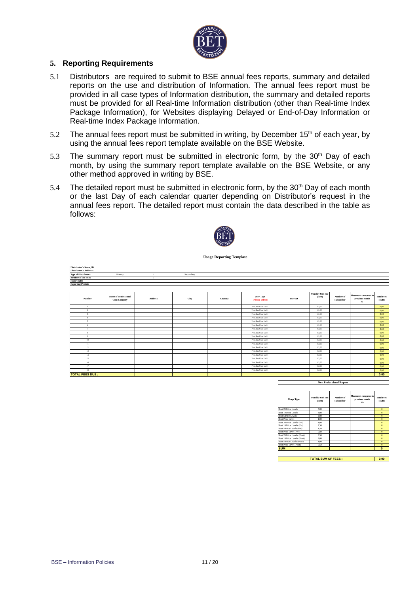

#### **5. Reporting Requirements**

- 5.1 Distributors are required to submit to BSE annual fees reports, summary and detailed reports on the use and distribution of Information. The annual fees report must be provided in all case types of Information distribution, the summary and detailed reports must be provided for all Real-time Information distribution (other than Real-time Index Package Information), for Websites displaying Delayed or End-of-Day Information or Real-time Index Package Information.
- 5.2 The annual fees report must be submitted in writing, by December  $15<sup>th</sup>$  of each year, by using the annual fees report template available on the BSE Website.
- 5.3 The summary report must be submitted in electronic form, by the  $30<sup>th</sup>$  Day of each month, by using the summary report template available on the BSE Website, or any other method approved in writing by BSE.
- 5.4 The detailed report must be submitted in electronic form, by the 30<sup>th</sup> Day of each month or the last Day of each calendar quarter depending on Distributor's request in the annual fees report. The detailed report must contain the data described in the table as follows:



**Usage Reporting Template**

| Distributor's Name, ID:       |                                             |                |           |         |                                     |                |                                  |                         |                                                 |                           |
|-------------------------------|---------------------------------------------|----------------|-----------|---------|-------------------------------------|----------------|----------------------------------|-------------------------|-------------------------------------------------|---------------------------|
| <b>Distributor's Address:</b> |                                             |                |           |         |                                     |                |                                  |                         |                                                 |                           |
| <b>Type of Distributor:</b>   | Primary                                     |                | Secondary |         |                                     |                |                                  |                         |                                                 |                           |
| Member of the BSE:            |                                             |                |           |         |                                     |                |                                  |                         |                                                 |                           |
| Report date:                  |                                             |                |           |         |                                     |                |                                  |                         |                                                 |                           |
| <b>Reporting Period:</b>      |                                             |                |           |         |                                     |                |                                  |                         |                                                 |                           |
|                               |                                             |                |           |         |                                     |                |                                  |                         |                                                 |                           |
| Number                        | <b>Name of Professional</b><br>User/Company | <b>Address</b> | City      | Country | <b>User Type</b><br>(Please select) | <b>User ID</b> | <b>Monthly Unit Fee</b><br>(ELR) | Number of<br>subscriber | Movement compared to<br>previous month<br>$+/-$ | <b>Total Fees</b><br>( R) |
| $\overline{1}$                |                                             |                |           |         | Prof.EndUser Lv1 1                  |                | 12.00                            |                         |                                                 | 0.00                      |
| $\overline{2}$                |                                             |                |           |         | Prof.EndUser Lvl 1                  |                | 12,00                            |                         |                                                 | 0.00                      |
| $\overline{\mathbf{3}}$       |                                             |                |           |         | Prof.EndUser Lvl 1                  |                | 12,00                            |                         |                                                 | 0.00                      |
| $\sim$                        |                                             |                |           |         | Prof.EndUser Lv1 1                  |                | 12,00                            |                         |                                                 | 0,00                      |
| $\sim$                        |                                             |                |           |         | Prof.EndUser Lv1 1                  |                | 12,00                            |                         |                                                 | 0.00                      |
| 6                             |                                             |                |           |         | Prof.EndUser Lvl 1                  |                | 12,00                            |                         |                                                 | 0,00                      |
| $\overline{7}$                |                                             |                |           |         | Prof.EndUser Lv1 1                  |                | 12,00                            |                         |                                                 | 0,00                      |
| 8                             |                                             |                |           |         | Prof.EndUser LvI 1                  |                | 12,00                            |                         |                                                 | 0.00                      |
| 9                             |                                             |                |           |         | Prof.EndUser Lv1 1                  |                | 12.00                            |                         |                                                 | 0.00                      |
| $10\,$                        |                                             |                |           |         | Prof.EndUser Lv1 1                  |                | 12,00                            |                         |                                                 | 0,00                      |
| 11                            |                                             |                |           |         | Prof.EndUser Lv1 1                  |                | 12,00                            |                         |                                                 | 0,00                      |
| 12                            |                                             |                |           |         | Prof.EndUser Lv1 1                  |                | 12,00                            |                         |                                                 | 0,00                      |
| 13                            |                                             |                |           |         | Prof.EndUser Lv1 1                  |                | 12.00                            |                         |                                                 | 0.00                      |
| 14                            |                                             |                |           |         | Prof.EndUser Lv1 1                  |                | 12,00                            |                         |                                                 | 0,00                      |
| 15                            |                                             |                |           |         | Prof.EndUser Lvl 1                  |                | 12,00                            |                         |                                                 | 0.00                      |
| 16                            |                                             |                |           |         | Prof.EndUser Lvl 1                  |                | 12,00                            |                         |                                                 | 0,00                      |
| 17                            |                                             |                |           |         | Prof.EndUser Lv1 1                  |                | 12.00                            |                         |                                                 | 0.00                      |
| 18                            |                                             |                |           |         | Prof.EndUser Lvl 1                  |                | 12,00                            |                         |                                                 | 0,00                      |
| <b>TOTAL FEES DUE:</b>        |                                             |                |           |         |                                     |                |                                  |                         |                                                 | 0,00                      |

**Non Professional Report** 

| <b>Usage Type</b>           | <b>Monthly Unit Fee</b><br>(EIR) | Number of<br>subscriber | Movement compared to<br>previous month<br>$+/-$ | <b>Total Fees</b><br>(ELR) |
|-----------------------------|----------------------------------|-------------------------|-------------------------------------------------|----------------------------|
| Best 20 Price Levels        | 5.00                             |                         |                                                 | $\Omega$                   |
| Best 10 Price Levels        | 3.00                             |                         |                                                 | $\Omega$                   |
| Best 5 Price Levels         | 2.00                             |                         |                                                 | $\Omega$                   |
| Best Price Level            | 1.00                             |                         |                                                 | $\mathbf{0}$               |
| Best 20 Price Levels (Pre)  | 4.00                             |                         |                                                 | $\mathbf{0}$               |
| Best 10 Price Levels (Pre)  | 2.50                             |                         |                                                 | $\Omega$                   |
| Best 5 Price Levels (Pre)   | 1.50                             |                         |                                                 | $\Omega$                   |
| Best Price Level (Pre)      | 0.80                             |                         |                                                 | $\Omega$                   |
| Best 20 Price Levels (Post) | 3.50                             |                         |                                                 | $\Omega$                   |
| Best 10 Price Levels (Post) | 2.00                             |                         |                                                 | $\Omega$                   |
| Best 5 Price Levels (Post)  | 1.00                             |                         |                                                 | $\mathbf{0}$               |
| Best Price Level (Post)     | 0.50                             |                         |                                                 | $\Omega$                   |
| <b>SUM</b>                  |                                  |                         |                                                 | $\Omega$                   |

**0,00 TOTAL SUM OF FEES :**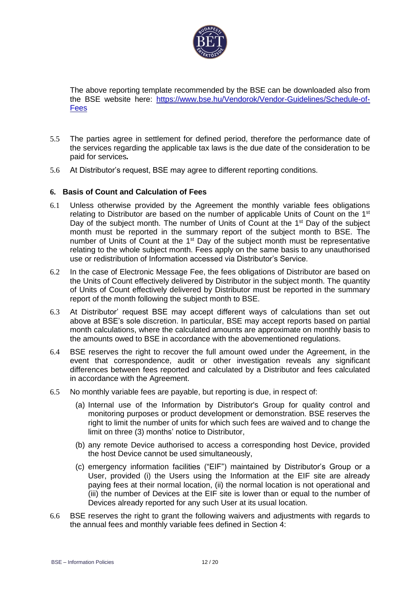

The above reporting template recommended by the BSE can be downloaded also from the BSE website here: [https://www.bse.hu/Vendorok/Vendor-Guidelines/Schedule-of-](https://www.bse.hu/Vendorok/Vendor-Guidelines/Schedule-of-Fees)**[Fees](https://www.bse.hu/Vendorok/Vendor-Guidelines/Schedule-of-Fees)** 

- 5.5 The parties agree in settlement for defined period, therefore the performance date of the services regarding the applicable tax laws is the due date of the consideration to be paid for services*.*
- 5.6 At Distributor's request, BSE may agree to different reporting conditions.

### **6. Basis of Count and Calculation of Fees**

- 6.1 Unless otherwise provided by the Agreement the monthly variable fees obligations relating to Distributor are based on the number of applicable Units of Count on the 1<sup>st</sup> Day of the subject month. The number of Units of Count at the 1<sup>st</sup> Day of the subject month must be reported in the summary report of the subject month to BSE. The number of Units of Count at the 1<sup>st</sup> Day of the subject month must be representative relating to the whole subject month. Fees apply on the same basis to any unauthorised use or redistribution of Information accessed via Distributor's Service.
- 6.2 In the case of Electronic Message Fee, the fees obligations of Distributor are based on the Units of Count effectively delivered by Distributor in the subject month. The quantity of Units of Count effectively delivered by Distributor must be reported in the summary report of the month following the subject month to BSE.
- 6.3 At Distributor' request BSE may accept different ways of calculations than set out above at BSE's sole discretion. In particular, BSE may accept reports based on partial month calculations, where the calculated amounts are approximate on monthly basis to the amounts owed to BSE in accordance with the abovementioned regulations.
- 6.4 BSE reserves the right to recover the full amount owed under the Agreement, in the event that correspondence, audit or other investigation reveals any significant differences between fees reported and calculated by a Distributor and fees calculated in accordance with the Agreement.
- 6.5 No monthly variable fees are payable, but reporting is due, in respect of:
	- (a) Internal use of the Information by Distributor's Group for quality control and monitoring purposes or product development or demonstration. BSE reserves the right to limit the number of units for which such fees are waived and to change the limit on three (3) months' notice to Distributor,
	- (b) any remote Device authorised to access a corresponding host Device, provided the host Device cannot be used simultaneously,
	- (c) emergency information facilities ("EIF") maintained by Distributor's Group or a User, provided (i) the Users using the Information at the EIF site are already paying fees at their normal location, (ii) the normal location is not operational and (iii) the number of Devices at the EIF site is lower than or equal to the number of Devices already reported for any such User at its usual location.
- 6.6 BSE reserves the right to grant the following waivers and adjustments with regards to the annual fees and monthly variable fees defined in Section 4: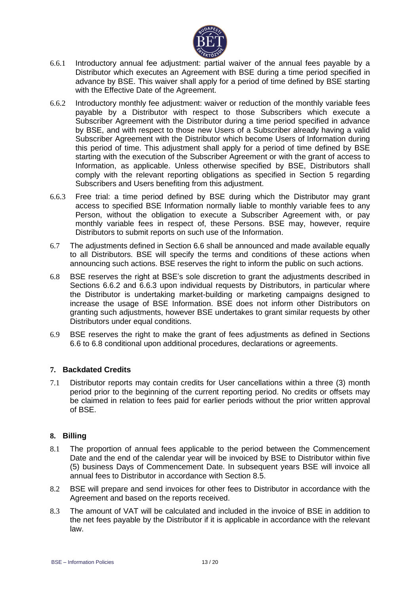

- 6.6.1 Introductory annual fee adjustment: partial waiver of the annual fees payable by a Distributor which executes an Agreement with BSE during a time period specified in advance by BSE. This waiver shall apply for a period of time defined by BSE starting with the Effective Date of the Agreement.
- 6.6.2 Introductory monthly fee adjustment: waiver or reduction of the monthly variable fees payable by a Distributor with respect to those Subscribers which execute a Subscriber Agreement with the Distributor during a time period specified in advance by BSE, and with respect to those new Users of a Subscriber already having a valid Subscriber Agreement with the Distributor which become Users of Information during this period of time. This adjustment shall apply for a period of time defined by BSE starting with the execution of the Subscriber Agreement or with the grant of access to Information, as applicable. Unless otherwise specified by BSE, Distributors shall comply with the relevant reporting obligations as specified in Section 5 regarding Subscribers and Users benefiting from this adjustment.
- 6.6.3 Free trial: a time period defined by BSE during which the Distributor may grant access to specified BSE Information normally liable to monthly variable fees to any Person, without the obligation to execute a Subscriber Agreement with, or pay monthly variable fees in respect of, these Persons. BSE may, however, require Distributors to submit reports on such use of the Information.
- 6.7 The adjustments defined in Section 6.6 shall be announced and made available equally to all Distributors. BSE will specify the terms and conditions of these actions when announcing such actions. BSE reserves the right to inform the public on such actions.
- 6.8 BSE reserves the right at BSE's sole discretion to grant the adjustments described in Sections 6.6.2 and 6.6.3 upon individual requests by Distributors, in particular where the Distributor is undertaking market-building or marketing campaigns designed to increase the usage of BSE Information. BSE does not inform other Distributors on granting such adjustments, however BSE undertakes to grant similar requests by other Distributors under equal conditions.
- 6.9 BSE reserves the right to make the grant of fees adjustments as defined in Sections 6.6 to 6.8 conditional upon additional procedures, declarations or agreements.

# **7. Backdated Credits**

7.1 Distributor reports may contain credits for User cancellations within a three (3) month period prior to the beginning of the current reporting period. No credits or offsets may be claimed in relation to fees paid for earlier periods without the prior written approval of BSE.

# **8. Billing**

- 8.1 The proportion of annual fees applicable to the period between the Commencement Date and the end of the calendar year will be invoiced by BSE to Distributor within five (5) business Days of Commencement Date. In subsequent years BSE will invoice all annual fees to Distributor in accordance with Section 8.5.
- 8.2 BSE will prepare and send invoices for other fees to Distributor in accordance with the Agreement and based on the reports received.
- 8.3 The amount of VAT will be calculated and included in the invoice of BSE in addition to the net fees payable by the Distributor if it is applicable in accordance with the relevant law.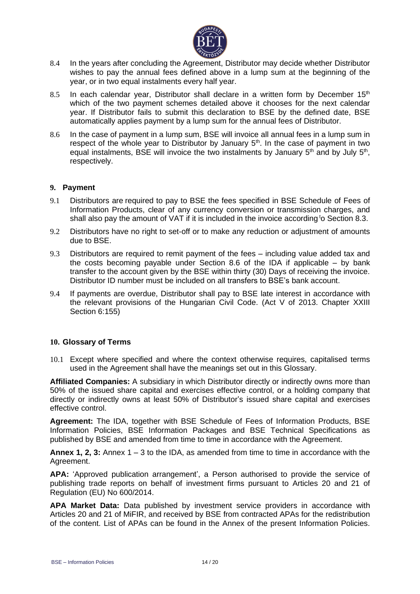

- 8.4 In the years after concluding the Agreement, Distributor may decide whether Distributor wishes to pay the annual fees defined above in a lump sum at the beginning of the year, or in two equal instalments every half year.
- 8.5 In each calendar year, Distributor shall declare in a written form by December  $15<sup>th</sup>$ which of the two payment schemes detailed above it chooses for the next calendar year. If Distributor fails to submit this declaration to BSE by the defined date, BSE automatically applies payment by a lump sum for the annual fees of Distributor.
- 8.6 In the case of payment in a lump sum, BSE will invoice all annual fees in a lump sum in respect of the whole year to Distributor by January  $5<sup>th</sup>$ . In the case of payment in two equal instalments, BSE will invoice the two instalments by January  $5<sup>th</sup>$  and by July  $5<sup>th</sup>$ , respectively.

### **9. Payment**

- 9.1 Distributors are required to pay to BSE the fees specified in BSE Schedule of Fees of Information Products, clear of any currency conversion or transmission charges, and shall also pay the amount of VAT if it is included in the invoice according to Section 8.3.
- 9.2 Distributors have no right to set-off or to make any reduction or adjustment of amounts due to BSE.
- 9.3 Distributors are required to remit payment of the fees including value added tax and the costs becoming payable under Section 8.6 of the IDA if applicable – by bank transfer to the account given by the BSE within thirty (30) Days of receiving the invoice. Distributor ID number must be included on all transfers to BSE's bank account.
- 9.4 If payments are overdue, Distributor shall pay to BSE late interest in accordance with the relevant provisions of the Hungarian Civil Code. (Act V of 2013. Chapter XXIII Section 6:155)

#### **10. Glossary of Terms**

10.1 Except where specified and where the context otherwise requires, capitalised terms used in the Agreement shall have the meanings set out in this Glossary.

**Affiliated Companies:** A subsidiary in which Distributor directly or indirectly owns more than 50% of the issued share capital and exercises effective control, or a holding company that directly or indirectly owns at least 50% of Distributor's issued share capital and exercises effective control.

**Agreement:** The IDA, together with BSE Schedule of Fees of Information Products, BSE Information Policies, BSE Information Packages and BSE Technical Specifications as published by BSE and amended from time to time in accordance with the Agreement.

**Annex 1, 2, 3:** Annex 1 – 3 to the IDA, as amended from time to time in accordance with the Agreement.

**APA:** 'Approved publication arrangement', a Person authorised to provide the service of publishing trade reports on behalf of investment firms pursuant to Articles 20 and 21 of Regulation (EU) No 600/2014.

**APA Market Data:** Data published by investment service providers in accordance with Articles 20 and 21 of MiFIR, and received by BSE from contracted APAs for the redistribution of the content. List of APAs can be found in the Annex of the present Information Policies.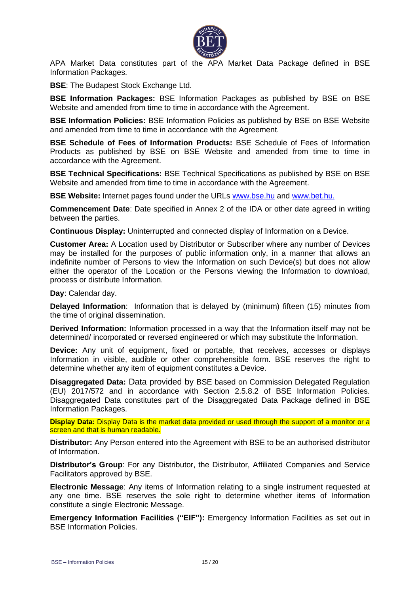

APA Market Data constitutes part of the APA Market Data Package defined in BSE Information Packages.

**BSE**: The Budapest Stock Exchange Ltd.

**BSE Information Packages:** BSE Information Packages as published by BSE on BSE Website and amended from time to time in accordance with the Agreement.

**BSE Information Policies:** BSE Information Policies as published by BSE on BSE Website and amended from time to time in accordance with the Agreement.

**BSE Schedule of Fees of Information Products:** BSE Schedule of Fees of Information Products as published by BSE on BSE Website and amended from time to time in accordance with the Agreement.

**BSE Technical Specifications:** BSE Technical Specifications as published by BSE on BSE Website and amended from time to time in accordance with the Agreement.

**BSE Website:** Internet pages found under the URLs [www.bse.hu](http://www.bse.hu/) and [www.bet.hu.](http://www.bet.hu/)

**Commencement Date**: Date specified in Annex 2 of the IDA or other date agreed in writing between the parties.

**Continuous Display:** Uninterrupted and connected display of Information on a Device.

**Customer Area:** A Location used by Distributor or Subscriber where any number of Devices may be installed for the purposes of public information only, in a manner that allows an indefinite number of Persons to view the Information on such Device(s) but does not allow either the operator of the Location or the Persons viewing the Information to download, process or distribute Information.

**Day**: Calendar day.

**Delayed Information**: Information that is delayed by (minimum) fifteen (15) minutes from the time of original dissemination.

**Derived Information:** Information processed in a way that the Information itself may not be determined/ incorporated or reversed engineered or which may substitute the Information.

**Device:** Any unit of equipment, fixed or portable, that receives, accesses or displays Information in visible, audible or other comprehensible form. BSE reserves the right to determine whether any item of equipment constitutes a Device.

**Disaggregated Data:** Data provided by BSE based on Commission Delegated Regulation (EU) 2017/572 and in accordance with Section 2.5.8.2 of BSE Information Policies. Disaggregated Data constitutes part of the Disaggregated Data Package defined in BSE Information Packages.

**Display Data:** Display Data is the market data provided or used through the support of a monitor or a screen and that is human readable.

**Distributor:** Any Person entered into the Agreement with BSE to be an authorised distributor of Information.

**Distributor's Group**: For any Distributor, the Distributor, Affiliated Companies and Service Facilitators approved by BSE.

**Electronic Message**: Any items of Information relating to a single instrument requested at any one time. BSE reserves the sole right to determine whether items of Information constitute a single Electronic Message.

**Emergency Information Facilities ("EIF"):** Emergency Information Facilities as set out in BSE Information Policies.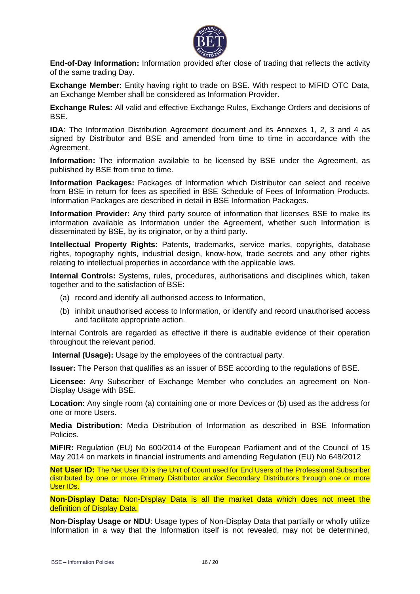

**End-of-Day Information:** Information provided after close of trading that reflects the activity of the same trading Day.

**Exchange Member:** Entity having right to trade on BSE. With respect to MiFID OTC Data, an Exchange Member shall be considered as Information Provider.

**Exchange Rules:** All valid and effective Exchange Rules, Exchange Orders and decisions of BSE.

**IDA**: The Information Distribution Agreement document and its Annexes 1, 2, 3 and 4 as signed by Distributor and BSE and amended from time to time in accordance with the Agreement.

**Information:** The information available to be licensed by BSE under the Agreement, as published by BSE from time to time.

**Information Packages:** Packages of Information which Distributor can select and receive from BSE in return for fees as specified in BSE Schedule of Fees of Information Products. Information Packages are described in detail in BSE Information Packages.

**Information Provider:** Any third party source of information that licenses BSE to make its information available as Information under the Agreement, whether such Information is disseminated by BSE, by its originator, or by a third party.

**Intellectual Property Rights:** Patents, trademarks, service marks, copyrights, database rights, topography rights, industrial design, know-how, trade secrets and any other rights relating to intellectual properties in accordance with the applicable laws.

**Internal Controls:** Systems, rules, procedures, authorisations and disciplines which, taken together and to the satisfaction of BSE:

- (a) record and identify all authorised access to Information,
- (b) inhibit unauthorised access to Information, or identify and record unauthorised access and facilitate appropriate action.

Internal Controls are regarded as effective if there is auditable evidence of their operation throughout the relevant period.

**Internal (Usage):** Usage by the employees of the contractual party.

**Issuer:** The Person that qualifies as an issuer of BSE according to the regulations of BSE.

**Licensee:** Any Subscriber of Exchange Member who concludes an agreement on Non-Display Usage with BSE.

**Location:** Any single room (a) containing one or more Devices or (b) used as the address for one or more Users.

**Media Distribution:** Media Distribution of Information as described in BSE Information Policies.

**MiFIR:** Regulation (EU) No 600/2014 of the European Parliament and of the Council of 15 May 2014 on markets in financial instruments and amending Regulation (EU) No 648/2012

**Net User ID:** The Net User ID is the Unit of Count used for End Users of the Professional Subscriber distributed by one or more Primary Distributor and/or Secondary Distributors through one or more User IDs.

**Non-Display Data:** Non-Display Data is all the market data which does not meet the definition of Display Data.

**Non-Display Usage or NDU**: Usage types of Non-Display Data that partially or wholly utilize Information in a way that the Information itself is not revealed, may not be determined,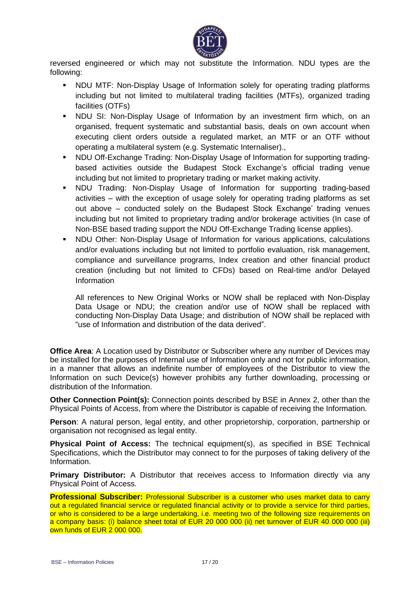

reversed engineered or which may not substitute the Information. NDU types are the following:

- NDU MTF: Non-Display Usage of Information solely for operating trading platforms including but not limited to multilateral trading facilities (MTFs), organized trading facilities (OTFs)
- **NDU SI: Non-Display Usage of Information by an investment firm which, on an** organised, frequent systematic and substantial basis, deals on own account when executing client orders outside a regulated market, an MTF or an OTF without operating a multilateral system (e.g. Systematic Internaliser).,
- NDU Off-Exchange Trading: Non-Display Usage of Information for supporting tradingbased activities outside the Budapest Stock Exchange's official trading venue including but not limited to proprietary trading or market making activity.
- NDU Trading: Non-Display Usage of Information for supporting trading-based activities – with the exception of usage solely for operating trading platforms as set out above – conducted solely on the Budapest Stock Exchange' trading venues including but not limited to proprietary trading and/or brokerage activities (In case of Non-BSE based trading support the NDU Off-Exchange Trading license applies).
- NDU Other: Non-Display Usage of Information for various applications, calculations and/or evaluations including but not limited to portfolio evaluation, risk management, compliance and surveillance programs, Index creation and other financial product creation (including but not limited to CFDs) based on Real-time and/or Delayed Information

All references to New Original Works or NOW shall be replaced with Non-Display Data Usage or NDU; the creation and/or use of NOW shall be replaced with conducting Non-Display Data Usage; and distribution of NOW shall be replaced with "use of Information and distribution of the data derived".

**Office Area**: A Location used by Distributor or Subscriber where any number of Devices may be installed for the purposes of Internal use of Information only and not for public information, in a manner that allows an indefinite number of employees of the Distributor to view the Information on such Device(s) however prohibits any further downloading, processing or distribution of the Information.

**Other Connection Point(s):** Connection points described by BSE in Annex 2, other than the Physical Points of Access, from where the Distributor is capable of receiving the Information.

**Person**: A natural person, legal entity, and other proprietorship, corporation, partnership or organisation not recognised as legal entity.

**Physical Point of Access:** The technical equipment(s), as specified in BSE Technical Specifications, which the Distributor may connect to for the purposes of taking delivery of the Information.

**Primary Distributor:** A Distributor that receives access to Information directly via any Physical Point of Access.

**Professional Subscriber:** Professional Subscriber is a customer who uses market data to carry out a regulated financial service or regulated financial activity or to provide a service for third parties, or who is considered to be a large undertaking, i.e. meeting two of the following size requirements on a company basis: (i) balance sheet total of EUR 20 000 000 (ii) net turnover of EUR 40 000 000 (iii) own funds of EUR 2 000 000.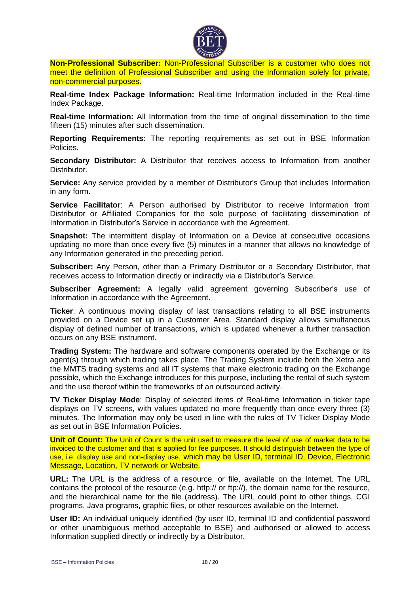

**Non-Professional Subscriber:** Non-Professional Subscriber is a customer who does not meet the definition of Professional Subscriber and using the Information solely for private, non-commercial purposes.

**Real-time Index Package Information:** Real-time Information included in the Real-time Index Package.

**Real-time Information:** All Information from the time of original dissemination to the time fifteen (15) minutes after such dissemination.

**Reporting Requirements**: The reporting requirements as set out in BSE Information Policies.

**Secondary Distributor:** A Distributor that receives access to Information from another Distributor.

**Service:** Any service provided by a member of Distributor's Group that includes Information in any form.

**Service Facilitator**: A Person authorised by Distributor to receive Information from Distributor or Affiliated Companies for the sole purpose of facilitating dissemination of Information in Distributor's Service in accordance with the Agreement.

**Snapshot:** The intermittent display of Information on a Device at consecutive occasions updating no more than once every five (5) minutes in a manner that allows no knowledge of any Information generated in the preceding period.

**Subscriber:** Any Person, other than a Primary Distributor or a Secondary Distributor, that receives access to Information directly or indirectly via a Distributor's Service.

**Subscriber Agreement:** A legally valid agreement governing Subscriber's use of Information in accordance with the Agreement.

**Ticker**: A continuous moving display of last transactions relating to all BSE instruments provided on a Device set up in a Customer Area. Standard display allows simultaneous display of defined number of transactions, which is updated whenever a further transaction occurs on any BSE instrument.

**Trading System:** The hardware and software components operated by the Exchange or its agent(s) through which trading takes place. The Trading System include both the Xetra and the MMTS trading systems and all IT systems that make electronic trading on the Exchange possible, which the Exchange introduces for this purpose, including the rental of such system and the use thereof within the frameworks of an outsourced activity.

**TV Ticker Display Mode**: Display of selected items of Real-time Information in ticker tape displays on TV screens, with values updated no more frequently than once every three (3) minutes. The Information may only be used in line with the rules of TV Ticker Display Mode as set out in BSE Information Policies.

**Unit of Count:** The Unit of Count is the unit used to measure the level of use of market data to be invoiced to the customer and that is applied for fee purposes. It should distinguish between the type of use, i.e. display use and non-display use, which may be User ID, terminal ID, Device, Electronic Message, Location, TV network or Website.

**URL:** The URL is the address of a resource, or [file,](http://www.learnthat.com/define/f/file.shtml) available on the Internet. The URL contains the protocol of the resource (e.g. http:// or ftp://), the domain name for the resource, and the hierarchical name for the [file](http://www.learnthat.com/define/f/file.shtml) (address). The URL could point to other things, [CGI](http://www.learnthat.com/define/c/cgi.shtml) programs, [Java](http://www.learnthat.com/define/j/java.shtml) programs, graphic [files,](http://www.learnthat.com/define/f/file.shtml) or other resources available on the Internet.

**User ID:** An individual uniquely identified (by user ID, terminal ID and confidential password or other unambiguous method acceptable to BSE) and authorised or allowed to access Information supplied directly or indirectly by a Distributor.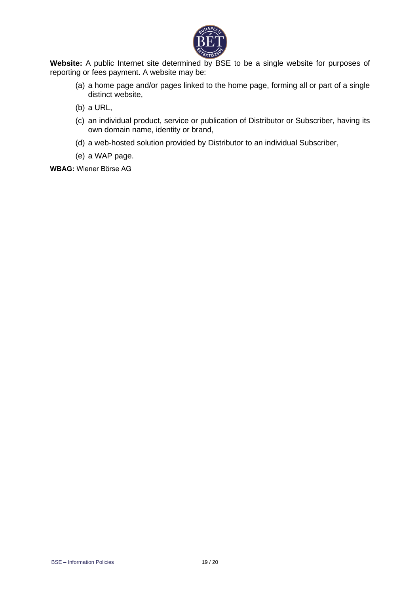

Website: A public Internet site determined by BSE to be a single website for purposes of reporting or fees payment. A website may be:

- (a) a home page and/or pages linked to the home page, forming all or part of a single distinct website,
- (b) a URL,
- (c) an individual product, service or publication of Distributor or Subscriber, having its own domain name, identity or brand,
- (d) a web-hosted solution provided by Distributor to an individual Subscriber,
- (e) a WAP page.

**WBAG:** Wiener Börse AG